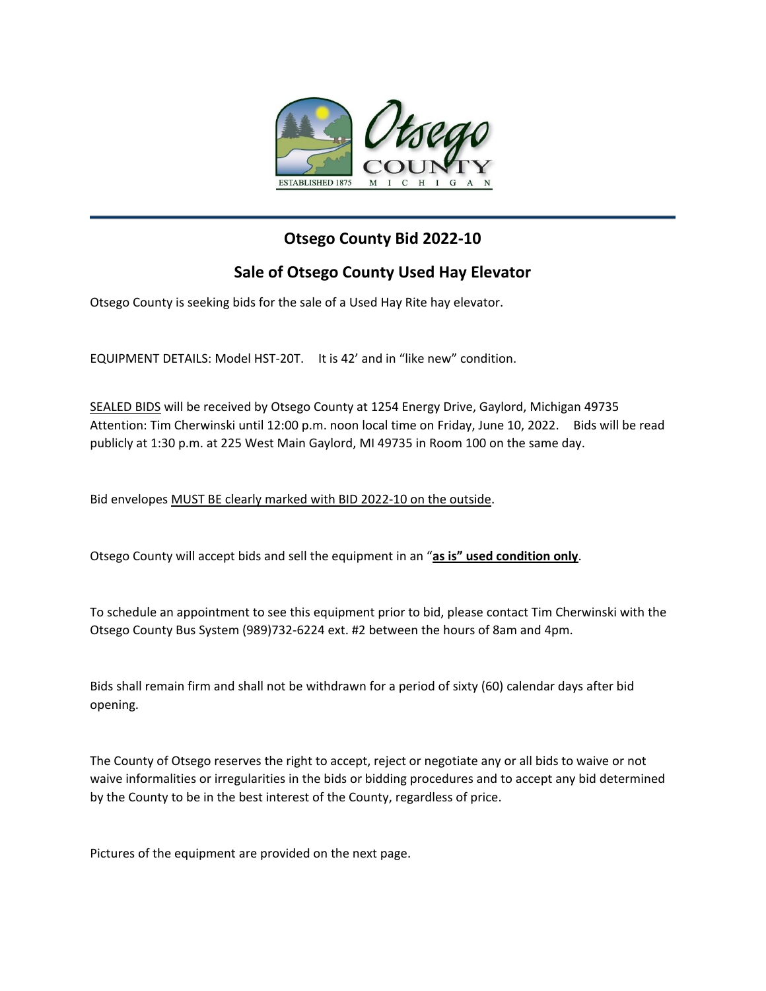

## **Otsego County Bid 2022-10**

## **Sale of Otsego County Used Hay Elevator**

Otsego County is seeking bids for the sale of a Used Hay Rite hay elevator.

EQUIPMENT DETAILS: Model HST-20T. It is 42' and in "like new" condition.

SEALED BIDS will be received by Otsego County at 1254 Energy Drive, Gaylord, Michigan 49735 Attention: Tim Cherwinski until 12:00 p.m. noon local time on Friday, June 10, 2022. Bids will be read publicly at 1:30 p.m. at 225 West Main Gaylord, MI 49735 in Room 100 on the same day.

Bid envelopes MUST BE clearly marked with BID 2022-10 on the outside.

Otsego County will accept bids and sell the equipment in an "**as is" used condition only**.

To schedule an appointment to see this equipment prior to bid, please contact Tim Cherwinski with the Otsego County Bus System (989)732-6224 ext. #2 between the hours of 8am and 4pm.

Bids shall remain firm and shall not be withdrawn for a period of sixty (60) calendar days after bid opening.

The County of Otsego reserves the right to accept, reject or negotiate any or all bids to waive or not waive informalities or irregularities in the bids or bidding procedures and to accept any bid determined by the County to be in the best interest of the County, regardless of price.

Pictures of the equipment are provided on the next page.